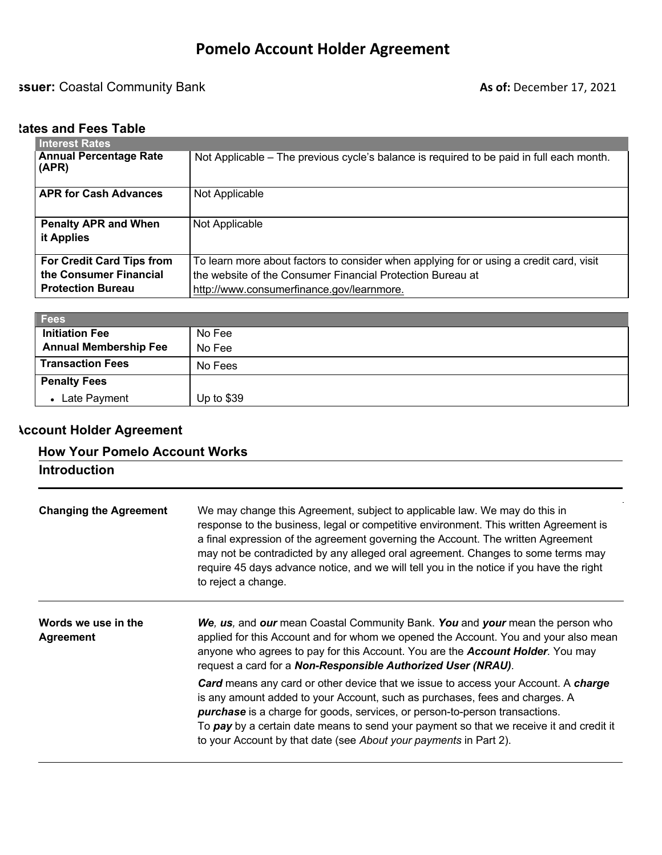# **ISSUER:** Coastal Community Bank **As of:** December 17, 2021

# **Rates and Fees Table**

| Interest Rates                         |                                                                                          |
|----------------------------------------|------------------------------------------------------------------------------------------|
| <b>Annual Percentage Rate</b><br>(APR) | Not Applicable – The previous cycle's balance is required to be paid in full each month. |
| <b>APR for Cash Advances</b>           | Not Applicable                                                                           |
| <b>Penalty APR and When</b>            | Not Applicable                                                                           |
| it Applies                             |                                                                                          |
| <b>For Credit Card Tips from</b>       | To learn more about factors to consider when applying for or using a credit card, visit  |
| the Consumer Financial                 | the website of the Consumer Financial Protection Bureau at                               |
| <b>Protection Bureau</b>               | http://www.consumerfinance.gov/learnmore.                                                |

| <b>Fees</b>                  |             |
|------------------------------|-------------|
| <b>Initiation Fee</b>        | No Fee      |
| <b>Annual Membership Fee</b> | No Fee      |
| <b>Transaction Fees</b>      | No Fees     |
| <b>Penalty Fees</b>          |             |
| • Late Payment               | Up to $$39$ |

# **Account Holder Agreement**

# **How Your Pomelo Account Works**

| <b>Introduction</b>                     |                                                                                                                                                                                                                                                                                                                                                                                                                                                                |
|-----------------------------------------|----------------------------------------------------------------------------------------------------------------------------------------------------------------------------------------------------------------------------------------------------------------------------------------------------------------------------------------------------------------------------------------------------------------------------------------------------------------|
| <b>Changing the Agreement</b>           | We may change this Agreement, subject to applicable law. We may do this in<br>response to the business, legal or competitive environment. This written Agreement is<br>a final expression of the agreement governing the Account. The written Agreement<br>may not be contradicted by any alleged oral agreement. Changes to some terms may<br>require 45 days advance notice, and we will tell you in the notice if you have the right<br>to reject a change. |
| Words we use in the<br><b>Agreement</b> | We, us, and our mean Coastal Community Bank. You and your mean the person who<br>applied for this Account and for whom we opened the Account. You and your also mean<br>anyone who agrees to pay for this Account. You are the <b>Account Holder</b> . You may<br>request a card for a Non-Responsible Authorized User (NRAU).                                                                                                                                 |
|                                         | <b>Card</b> means any card or other device that we issue to access your Account. A charge<br>is any amount added to your Account, such as purchases, fees and charges. A<br>purchase is a charge for goods, services, or person-to-person transactions.<br>To pay by a certain date means to send your payment so that we receive it and credit it<br>to your Account by that date (see About your payments in Part 2).                                        |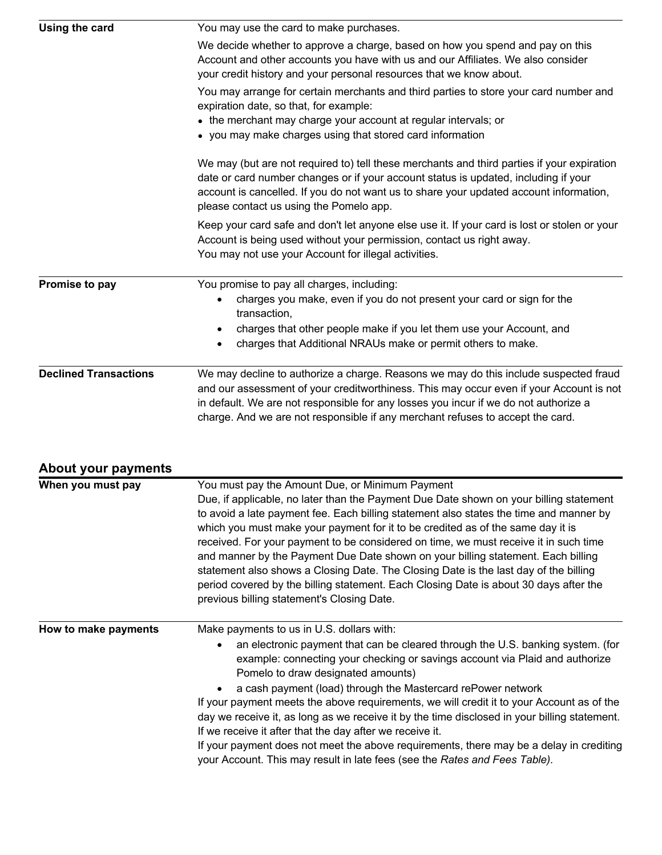| Using the card               | You may use the card to make purchases.                                                                                                                                                                                                                                                                                                                                                                                                                                                                                                                                                                                                                                                                                                              |
|------------------------------|------------------------------------------------------------------------------------------------------------------------------------------------------------------------------------------------------------------------------------------------------------------------------------------------------------------------------------------------------------------------------------------------------------------------------------------------------------------------------------------------------------------------------------------------------------------------------------------------------------------------------------------------------------------------------------------------------------------------------------------------------|
|                              | We decide whether to approve a charge, based on how you spend and pay on this<br>Account and other accounts you have with us and our Affiliates. We also consider<br>your credit history and your personal resources that we know about.                                                                                                                                                                                                                                                                                                                                                                                                                                                                                                             |
|                              | You may arrange for certain merchants and third parties to store your card number and<br>expiration date, so that, for example:<br>• the merchant may charge your account at regular intervals; or<br>• you may make charges using that stored card information                                                                                                                                                                                                                                                                                                                                                                                                                                                                                      |
|                              | We may (but are not required to) tell these merchants and third parties if your expiration<br>date or card number changes or if your account status is updated, including if your<br>account is cancelled. If you do not want us to share your updated account information,<br>please contact us using the Pomelo app.                                                                                                                                                                                                                                                                                                                                                                                                                               |
|                              | Keep your card safe and don't let anyone else use it. If your card is lost or stolen or your<br>Account is being used without your permission, contact us right away.<br>You may not use your Account for illegal activities.                                                                                                                                                                                                                                                                                                                                                                                                                                                                                                                        |
| Promise to pay               | You promise to pay all charges, including:<br>charges you make, even if you do not present your card or sign for the<br>transaction,                                                                                                                                                                                                                                                                                                                                                                                                                                                                                                                                                                                                                 |
|                              | charges that other people make if you let them use your Account, and<br>$\bullet$<br>charges that Additional NRAUs make or permit others to make.                                                                                                                                                                                                                                                                                                                                                                                                                                                                                                                                                                                                    |
| <b>Declined Transactions</b> | We may decline to authorize a charge. Reasons we may do this include suspected fraud<br>and our assessment of your creditworthiness. This may occur even if your Account is not<br>in default. We are not responsible for any losses you incur if we do not authorize a<br>charge. And we are not responsible if any merchant refuses to accept the card.                                                                                                                                                                                                                                                                                                                                                                                            |
| <b>About your payments</b>   |                                                                                                                                                                                                                                                                                                                                                                                                                                                                                                                                                                                                                                                                                                                                                      |
| When you must pay            | You must pay the Amount Due, or Minimum Payment<br>Due, if applicable, no later than the Payment Due Date shown on your billing statement<br>to avoid a late payment fee. Each billing statement also states the time and manner by<br>which you must make your payment for it to be credited as of the same day it is<br>received. For your payment to be considered on time, we must receive it in such time<br>and manner by the Payment Due Date shown on your billing statement. Each billing<br>statement also shows a Closing Date. The Closing Date is the last day of the billing<br>period covered by the billing statement. Each Closing Date is about 30 days after the<br>previous billing statement's Closing Date.                    |
| How to make payments         | Make payments to us in U.S. dollars with:<br>an electronic payment that can be cleared through the U.S. banking system. (for<br>example: connecting your checking or savings account via Plaid and authorize<br>Pomelo to draw designated amounts)<br>a cash payment (load) through the Mastercard rePower network<br>If your payment meets the above requirements, we will credit it to your Account as of the<br>day we receive it, as long as we receive it by the time disclosed in your billing statement.<br>If we receive it after that the day after we receive it.<br>If your payment does not meet the above requirements, there may be a delay in crediting<br>your Account. This may result in late fees (see the Rates and Fees Table). |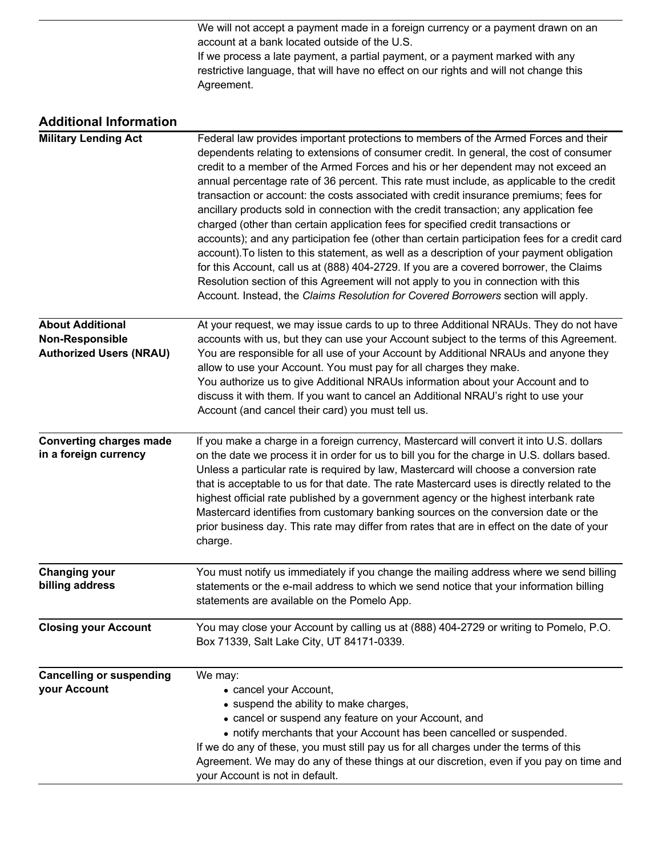We will not accept a payment made in a foreign currency or a payment drawn on an account at a bank located outside of the U.S. If we process a late payment, a partial payment, or a payment marked with any restrictive language, that will have no effect on our rights and will not change this Agreement.

| <b>Additional Information</b>                                                       |                                                                                                                                                                                                                                                                                                                                                                                                                                                                                                                                                                                                                                                                                                                                                                                                                                                                                                                                                                                                                                                                                                             |
|-------------------------------------------------------------------------------------|-------------------------------------------------------------------------------------------------------------------------------------------------------------------------------------------------------------------------------------------------------------------------------------------------------------------------------------------------------------------------------------------------------------------------------------------------------------------------------------------------------------------------------------------------------------------------------------------------------------------------------------------------------------------------------------------------------------------------------------------------------------------------------------------------------------------------------------------------------------------------------------------------------------------------------------------------------------------------------------------------------------------------------------------------------------------------------------------------------------|
| <b>Military Lending Act</b>                                                         | Federal law provides important protections to members of the Armed Forces and their<br>dependents relating to extensions of consumer credit. In general, the cost of consumer<br>credit to a member of the Armed Forces and his or her dependent may not exceed an<br>annual percentage rate of 36 percent. This rate must include, as applicable to the credit<br>transaction or account: the costs associated with credit insurance premiums; fees for<br>ancillary products sold in connection with the credit transaction; any application fee<br>charged (other than certain application fees for specified credit transactions or<br>accounts); and any participation fee (other than certain participation fees for a credit card<br>account). To listen to this statement, as well as a description of your payment obligation<br>for this Account, call us at (888) 404-2729. If you are a covered borrower, the Claims<br>Resolution section of this Agreement will not apply to you in connection with this<br>Account. Instead, the Claims Resolution for Covered Borrowers section will apply. |
| <b>About Additional</b><br><b>Non-Responsible</b><br><b>Authorized Users (NRAU)</b> | At your request, we may issue cards to up to three Additional NRAUs. They do not have<br>accounts with us, but they can use your Account subject to the terms of this Agreement.<br>You are responsible for all use of your Account by Additional NRAUs and anyone they<br>allow to use your Account. You must pay for all charges they make.<br>You authorize us to give Additional NRAUs information about your Account and to<br>discuss it with them. If you want to cancel an Additional NRAU's right to use your<br>Account (and cancel their card) you must tell us.                                                                                                                                                                                                                                                                                                                                                                                                                                                                                                                                 |
| <b>Converting charges made</b><br>in a foreign currency                             | If you make a charge in a foreign currency, Mastercard will convert it into U.S. dollars<br>on the date we process it in order for us to bill you for the charge in U.S. dollars based.<br>Unless a particular rate is required by law, Mastercard will choose a conversion rate<br>that is acceptable to us for that date. The rate Mastercard uses is directly related to the<br>highest official rate published by a government agency or the highest interbank rate<br>Mastercard identifies from customary banking sources on the conversion date or the<br>prior business day. This rate may differ from rates that are in effect on the date of your<br>charge.                                                                                                                                                                                                                                                                                                                                                                                                                                      |
| <b>Changing your</b><br>billing address                                             | You must notify us immediately if you change the mailing address where we send billing<br>statements or the e-mail address to which we send notice that your information billing<br>statements are available on the Pomelo App.                                                                                                                                                                                                                                                                                                                                                                                                                                                                                                                                                                                                                                                                                                                                                                                                                                                                             |
| <b>Closing your Account</b>                                                         | You may close your Account by calling us at (888) 404-2729 or writing to Pomelo, P.O.<br>Box 71339, Salt Lake City, UT 84171-0339.                                                                                                                                                                                                                                                                                                                                                                                                                                                                                                                                                                                                                                                                                                                                                                                                                                                                                                                                                                          |
| <b>Cancelling or suspending</b><br>your Account                                     | We may:<br>• cancel your Account,<br>• suspend the ability to make charges,<br>• cancel or suspend any feature on your Account, and<br>• notify merchants that your Account has been cancelled or suspended.<br>If we do any of these, you must still pay us for all charges under the terms of this<br>Agreement. We may do any of these things at our discretion, even if you pay on time and                                                                                                                                                                                                                                                                                                                                                                                                                                                                                                                                                                                                                                                                                                             |

your Account is not in default.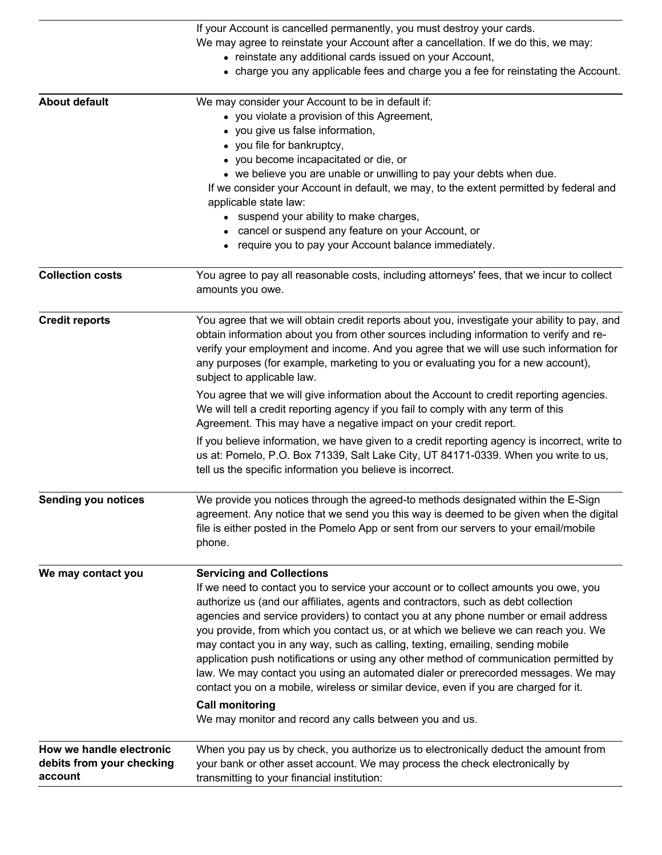|                                                                  | If your Account is cancelled permanently, you must destroy your cards.<br>We may agree to reinstate your Account after a cancellation. If we do this, we may:<br>• reinstate any additional cards issued on your Account,<br>• charge you any applicable fees and charge you a fee for reinstating the Account.                                                                                                                                                                                                                                                                                                                                                                                                                                                                                                                           |
|------------------------------------------------------------------|-------------------------------------------------------------------------------------------------------------------------------------------------------------------------------------------------------------------------------------------------------------------------------------------------------------------------------------------------------------------------------------------------------------------------------------------------------------------------------------------------------------------------------------------------------------------------------------------------------------------------------------------------------------------------------------------------------------------------------------------------------------------------------------------------------------------------------------------|
| <b>About default</b>                                             | We may consider your Account to be in default if:<br>• you violate a provision of this Agreement,<br>• you give us false information,<br>• you file for bankruptcy,<br>• you become incapacitated or die, or<br>• we believe you are unable or unwilling to pay your debts when due.<br>If we consider your Account in default, we may, to the extent permitted by federal and<br>applicable state law:<br>• suspend your ability to make charges,<br>• cancel or suspend any feature on your Account, or<br>require you to pay your Account balance immediately.                                                                                                                                                                                                                                                                         |
| <b>Collection costs</b>                                          | You agree to pay all reasonable costs, including attorneys' fees, that we incur to collect<br>amounts you owe.                                                                                                                                                                                                                                                                                                                                                                                                                                                                                                                                                                                                                                                                                                                            |
| <b>Credit reports</b>                                            | You agree that we will obtain credit reports about you, investigate your ability to pay, and<br>obtain information about you from other sources including information to verify and re-<br>verify your employment and income. And you agree that we will use such information for<br>any purposes (for example, marketing to you or evaluating you for a new account),<br>subject to applicable law.<br>You agree that we will give information about the Account to credit reporting agencies.                                                                                                                                                                                                                                                                                                                                           |
|                                                                  | We will tell a credit reporting agency if you fail to comply with any term of this<br>Agreement. This may have a negative impact on your credit report.                                                                                                                                                                                                                                                                                                                                                                                                                                                                                                                                                                                                                                                                                   |
|                                                                  | If you believe information, we have given to a credit reporting agency is incorrect, write to<br>us at: Pomelo, P.O. Box 71339, Salt Lake City, UT 84171-0339. When you write to us,<br>tell us the specific information you believe is incorrect.                                                                                                                                                                                                                                                                                                                                                                                                                                                                                                                                                                                        |
| <b>Sending you notices</b>                                       | We provide you notices through the agreed-to methods designated within the E-Sign<br>agreement. Any notice that we send you this way is deemed to be given when the digital<br>file is either posted in the Pomelo App or sent from our servers to your email/mobile<br>phone.                                                                                                                                                                                                                                                                                                                                                                                                                                                                                                                                                            |
| We may contact you                                               | <b>Servicing and Collections</b><br>If we need to contact you to service your account or to collect amounts you owe, you<br>authorize us (and our affiliates, agents and contractors, such as debt collection<br>agencies and service providers) to contact you at any phone number or email address<br>you provide, from which you contact us, or at which we believe we can reach you. We<br>may contact you in any way, such as calling, texting, emailing, sending mobile<br>application push notifications or using any other method of communication permitted by<br>law. We may contact you using an automated dialer or prerecorded messages. We may<br>contact you on a mobile, wireless or similar device, even if you are charged for it.<br><b>Call monitoring</b><br>We may monitor and record any calls between you and us. |
| How we handle electronic<br>debits from your checking<br>account | When you pay us by check, you authorize us to electronically deduct the amount from<br>your bank or other asset account. We may process the check electronically by<br>transmitting to your financial institution:                                                                                                                                                                                                                                                                                                                                                                                                                                                                                                                                                                                                                        |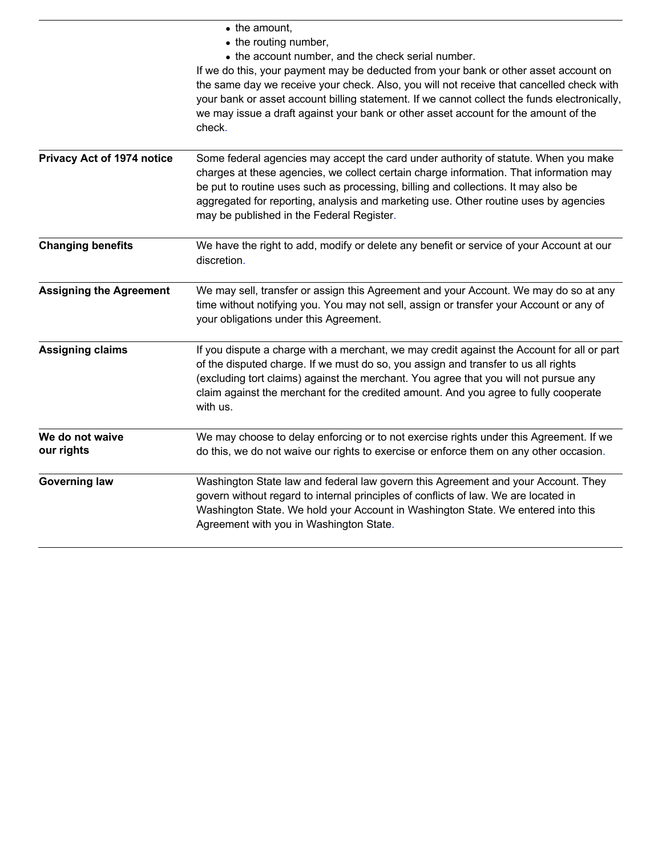|                                   | • the amount,<br>• the routing number,<br>• the account number, and the check serial number.<br>If we do this, your payment may be deducted from your bank or other asset account on<br>the same day we receive your check. Also, you will not receive that cancelled check with<br>your bank or asset account billing statement. If we cannot collect the funds electronically,<br>we may issue a draft against your bank or other asset account for the amount of the<br>check. |
|-----------------------------------|-----------------------------------------------------------------------------------------------------------------------------------------------------------------------------------------------------------------------------------------------------------------------------------------------------------------------------------------------------------------------------------------------------------------------------------------------------------------------------------|
| <b>Privacy Act of 1974 notice</b> | Some federal agencies may accept the card under authority of statute. When you make<br>charges at these agencies, we collect certain charge information. That information may<br>be put to routine uses such as processing, billing and collections. It may also be<br>aggregated for reporting, analysis and marketing use. Other routine uses by agencies<br>may be published in the Federal Register.                                                                          |
| <b>Changing benefits</b>          | We have the right to add, modify or delete any benefit or service of your Account at our<br>discretion.                                                                                                                                                                                                                                                                                                                                                                           |
| <b>Assigning the Agreement</b>    | We may sell, transfer or assign this Agreement and your Account. We may do so at any<br>time without notifying you. You may not sell, assign or transfer your Account or any of<br>your obligations under this Agreement.                                                                                                                                                                                                                                                         |
| <b>Assigning claims</b>           | If you dispute a charge with a merchant, we may credit against the Account for all or part<br>of the disputed charge. If we must do so, you assign and transfer to us all rights<br>(excluding tort claims) against the merchant. You agree that you will not pursue any<br>claim against the merchant for the credited amount. And you agree to fully cooperate<br>with us.                                                                                                      |
| We do not waive<br>our rights     | We may choose to delay enforcing or to not exercise rights under this Agreement. If we<br>do this, we do not waive our rights to exercise or enforce them on any other occasion.                                                                                                                                                                                                                                                                                                  |
| <b>Governing law</b>              | Washington State law and federal law govern this Agreement and your Account. They<br>govern without regard to internal principles of conflicts of law. We are located in<br>Washington State. We hold your Account in Washington State. We entered into this<br>Agreement with you in Washington State.                                                                                                                                                                           |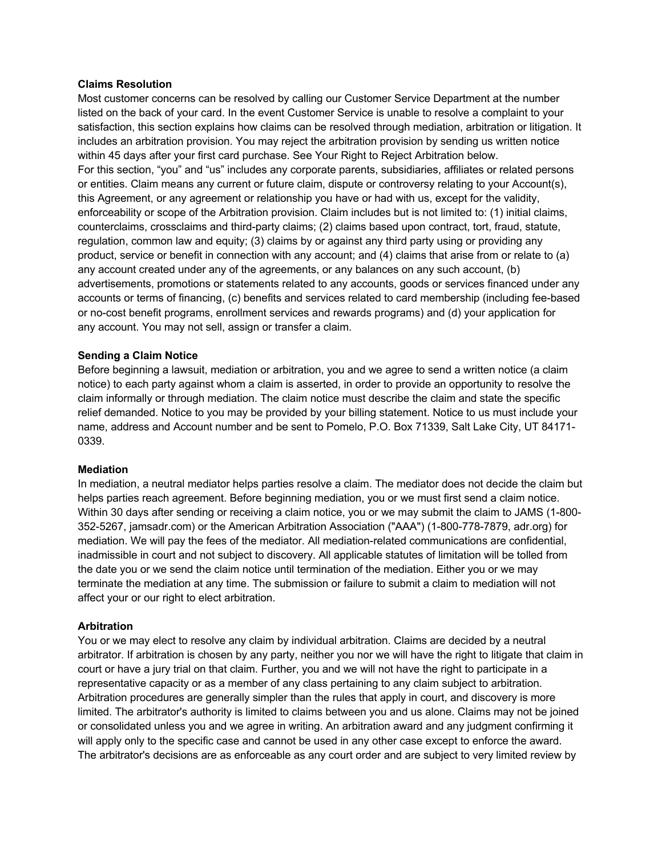#### **Claims Resolution**

Most customer concerns can be resolved by calling our Customer Service Department at the number listed on the back of your card. In the event Customer Service is unable to resolve a complaint to your satisfaction, this section explains how claims can be resolved through mediation, arbitration or litigation. It includes an arbitration provision. You may reject the arbitration provision by sending us written notice within 45 days after your first card purchase. See Your Right to Reject Arbitration below. For this section, "you" and "us" includes any corporate parents, subsidiaries, affiliates or related persons or entities. Claim means any current or future claim, dispute or controversy relating to your Account(s), this Agreement, or any agreement or relationship you have or had with us, except for the validity, enforceability or scope of the Arbitration provision. Claim includes but is not limited to: (1) initial claims, counterclaims, crossclaims and third-party claims; (2) claims based upon contract, tort, fraud, statute, regulation, common law and equity; (3) claims by or against any third party using or providing any product, service or benefit in connection with any account; and (4) claims that arise from or relate to (a) any account created under any of the agreements, or any balances on any such account, (b) advertisements, promotions or statements related to any accounts, goods or services financed under any accounts or terms of financing, (c) benefits and services related to card membership (including fee-based or no-cost benefit programs, enrollment services and rewards programs) and (d) your application for any account. You may not sell, assign or transfer a claim.

#### **Sending a Claim Notice**

Before beginning a lawsuit, mediation or arbitration, you and we agree to send a written notice (a claim notice) to each party against whom a claim is asserted, in order to provide an opportunity to resolve the claim informally or through mediation. The claim notice must describe the claim and state the specific relief demanded. Notice to you may be provided by your billing statement. Notice to us must include your name, address and Account number and be sent to Pomelo, P.O. Box 71339, Salt Lake City, UT 84171- 0339.

#### **Mediation**

In mediation, a neutral mediator helps parties resolve a claim. The mediator does not decide the claim but helps parties reach agreement. Before beginning mediation, you or we must first send a claim notice. Within 30 days after sending or receiving a claim notice, you or we may submit the claim to JAMS (1-800- 352-5267, jamsadr.com) or the American Arbitration Association ("AAA") (1-800-778-7879, adr.org) for mediation. We will pay the fees of the mediator. All mediation-related communications are confidential, inadmissible in court and not subject to discovery. All applicable statutes of limitation will be tolled from the date you or we send the claim notice until termination of the mediation. Either you or we may terminate the mediation at any time. The submission or failure to submit a claim to mediation will not affect your or our right to elect arbitration.

## **Arbitration**

You or we may elect to resolve any claim by individual arbitration. Claims are decided by a neutral arbitrator. If arbitration is chosen by any party, neither you nor we will have the right to litigate that claim in court or have a jury trial on that claim. Further, you and we will not have the right to participate in a representative capacity or as a member of any class pertaining to any claim subject to arbitration. Arbitration procedures are generally simpler than the rules that apply in court, and discovery is more limited. The arbitrator's authority is limited to claims between you and us alone. Claims may not be joined or consolidated unless you and we agree in writing. An arbitration award and any judgment confirming it will apply only to the specific case and cannot be used in any other case except to enforce the award. The arbitrator's decisions are as enforceable as any court order and are subject to very limited review by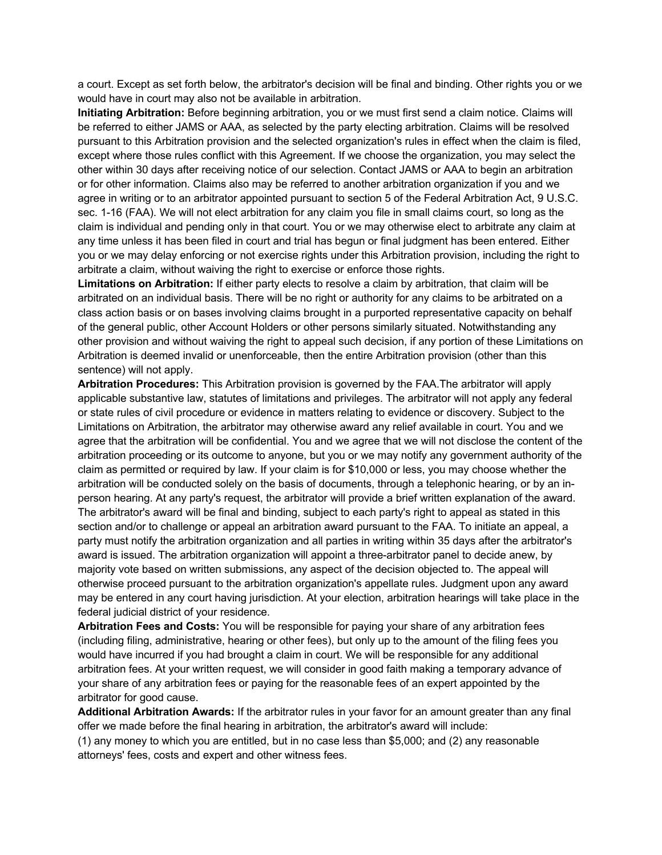a court. Except as set forth below, the arbitrator's decision will be final and binding. Other rights you or we would have in court may also not be available in arbitration.

**Initiating Arbitration:** Before beginning arbitration, you or we must first send a claim notice. Claims will be referred to either JAMS or AAA, as selected by the party electing arbitration. Claims will be resolved pursuant to this Arbitration provision and the selected organization's rules in effect when the claim is filed, except where those rules conflict with this Agreement. If we choose the organization, you may select the other within 30 days after receiving notice of our selection. Contact JAMS or AAA to begin an arbitration or for other information. Claims also may be referred to another arbitration organization if you and we agree in writing or to an arbitrator appointed pursuant to section 5 of the Federal Arbitration Act, 9 U.S.C. sec. 1-16 (FAA). We will not elect arbitration for any claim you file in small claims court, so long as the claim is individual and pending only in that court. You or we may otherwise elect to arbitrate any claim at any time unless it has been filed in court and trial has begun or final judgment has been entered. Either you or we may delay enforcing or not exercise rights under this Arbitration provision, including the right to arbitrate a claim, without waiving the right to exercise or enforce those rights.

**Limitations on Arbitration:** If either party elects to resolve a claim by arbitration, that claim will be arbitrated on an individual basis. There will be no right or authority for any claims to be arbitrated on a class action basis or on bases involving claims brought in a purported representative capacity on behalf of the general public, other Account Holders or other persons similarly situated. Notwithstanding any other provision and without waiving the right to appeal such decision, if any portion of these Limitations on Arbitration is deemed invalid or unenforceable, then the entire Arbitration provision (other than this sentence) will not apply.

**Arbitration Procedures:** This Arbitration provision is governed by the FAA.The arbitrator will apply applicable substantive law, statutes of limitations and privileges. The arbitrator will not apply any federal or state rules of civil procedure or evidence in matters relating to evidence or discovery. Subject to the Limitations on Arbitration, the arbitrator may otherwise award any relief available in court. You and we agree that the arbitration will be confidential. You and we agree that we will not disclose the content of the arbitration proceeding or its outcome to anyone, but you or we may notify any government authority of the claim as permitted or required by law. If your claim is for \$10,000 or less, you may choose whether the arbitration will be conducted solely on the basis of documents, through a telephonic hearing, or by an inperson hearing. At any party's request, the arbitrator will provide a brief written explanation of the award. The arbitrator's award will be final and binding, subject to each party's right to appeal as stated in this section and/or to challenge or appeal an arbitration award pursuant to the FAA. To initiate an appeal, a party must notify the arbitration organization and all parties in writing within 35 days after the arbitrator's award is issued. The arbitration organization will appoint a three-arbitrator panel to decide anew, by majority vote based on written submissions, any aspect of the decision objected to. The appeal will otherwise proceed pursuant to the arbitration organization's appellate rules. Judgment upon any award may be entered in any court having jurisdiction. At your election, arbitration hearings will take place in the federal judicial district of your residence.

**Arbitration Fees and Costs:** You will be responsible for paying your share of any arbitration fees (including filing, administrative, hearing or other fees), but only up to the amount of the filing fees you would have incurred if you had brought a claim in court. We will be responsible for any additional arbitration fees. At your written request, we will consider in good faith making a temporary advance of your share of any arbitration fees or paying for the reasonable fees of an expert appointed by the arbitrator for good cause.

**Additional Arbitration Awards:** If the arbitrator rules in your favor for an amount greater than any final offer we made before the final hearing in arbitration, the arbitrator's award will include:

(1) any money to which you are entitled, but in no case less than \$5,000; and (2) any reasonable attorneys' fees, costs and expert and other witness fees.